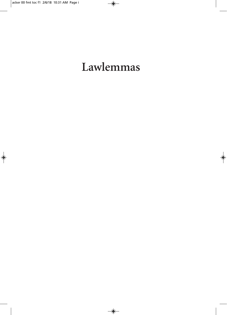# Lawlemmas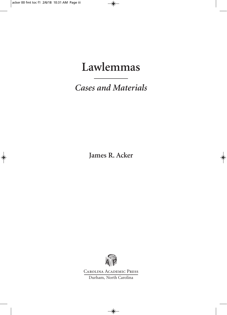## **Lawlemmas**

*Cases and Materials*

**James R. Acker**



Carolina Academic Press Durham, North Carolina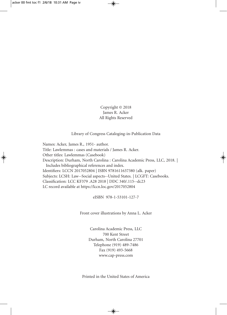Copyright © 2018 James R. Acker All Rights Reserved

Library of Congress Cataloging-in-Publication Data

Names: Acker, James R., 1951- author. Title: Lawlemmas : cases and materials / James R. Acker. Other titles: Lawlemmas (Casebook) Description: Durham, North Carolina : Carolina Academic Press, LLC, 2018. | Includes bibliographical references and index. Identifiers: LCCN 2017052804 | ISBN 9781611637380 (alk. paper) Subjects: LCSH: Law--Social aspects--United States. | LCGFT: Casebooks. Classification: LCC KF379 .A28 2018 | DDC 340/.115--dc23 LC record available at https://lccn.loc.gov/2017052804

eISBN 978-1-53101-127-7

Front cover illustrations by Anna L. Acker

Carolina Academic Press, LLC 700 Kent Street Durham, North Carolina 27701 Telephone (919) 489-7486 Fax (919) 493-5668 www.cap-press.com

Printed in the United States of America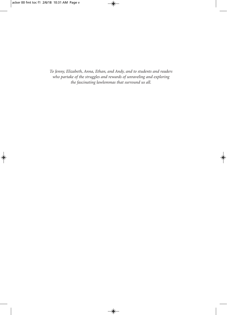*To Jenny, Elizabeth, Anna, Ethan, and Andy, and to students and readers who partake of the struggles and rewards of unraveling and exploring the fascinating lawlemmas that surround us all.*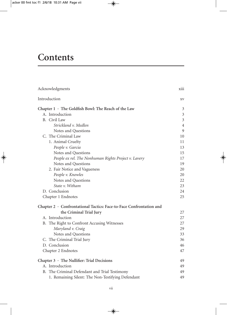### **Contents**

| Acknowledgments                                                     | X111           |
|---------------------------------------------------------------------|----------------|
| Introduction                                                        | XV             |
| Chapter $1 \cdot$ The Goldfish Bowl: The Reach of the Law           | 3              |
| A. Introduction                                                     | $\mathfrak{Z}$ |
| B. Civil Law                                                        | $\mathfrak{Z}$ |
| Strickland v. Medlen                                                | 4              |
| Notes and Questions                                                 | 9              |
| C. The Criminal Law                                                 | 10             |
| 1. Animal Cruelty                                                   | 11             |
| People v. Garcia                                                    | 13             |
| Notes and Questions                                                 | 15             |
| People ex rel. The Nonhuman Rights Project v. Lavery                | 17             |
| Notes and Questions                                                 | 19             |
| 2. Fair Notice and Vagueness                                        | 20             |
| People v. Knowles                                                   | 20             |
| Notes and Questions                                                 | 22             |
| State v. Witham                                                     | 23             |
| D. Conclusion                                                       | 24             |
| Chapter 1 Endnotes                                                  | 25             |
| Chapter 2 · Confrontational Tactics: Face-to-Face Confrontation and |                |
| the Criminal Trial Jury                                             | 27             |
| A. Introduction                                                     | 27             |
| B. The Right to Confront Accusing Witnesses                         | 27             |
| Maryland v. Craig                                                   | 29             |
| Notes and Questions                                                 | 33             |
| C. The Criminal Trial Jury                                          | 36             |
| D. Conclusion                                                       | 46             |
| Chapter 2 Endnotes                                                  | 47             |
| Chapter 3 · The Nullifier: Trial Decisions                          | 49             |
| A. Introduction                                                     | 49             |
| B. The Criminal Defendant and Trial Testimony                       | 49             |
| 1. Remaining Silent: The Non-Testifying Defendant                   | 49             |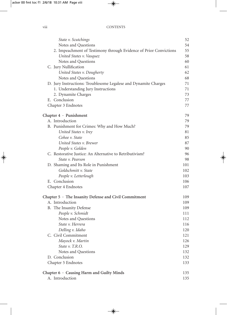| State v. Scutchings                                               | 52  |
|-------------------------------------------------------------------|-----|
| Notes and Questions                                               | 54  |
| 2. Impeachment of Testimony through Evidence of Prior Convictions | 55  |
| United States v. Vasquez                                          | 58  |
| Notes and Questions                                               | 60  |
| C. Jury Nullification                                             | 61  |
| United States v. Dougherty                                        | 62  |
| Notes and Questions                                               | 68  |
| D. Jury Instructions: Troublesome Legalese and Dynamite Charges   | 71  |
| 1. Understanding Jury Instructions                                | 71  |
| 2. Dynamite Charges                                               | 73  |
| E. Conclusion                                                     | 77  |
| Chapter 3 Endnotes                                                | 77  |
| Chapter $4 \cdot$ Punishment                                      | 79  |
| A. Introduction                                                   | 79  |
| B. Punishment for Crimes: Why and How Much?                       | 79  |
| United States v. Irey                                             | 81  |
| Cohee v. State                                                    | 85  |
| United States v. Brewer                                           | 87  |
| People v. Golden                                                  | 90  |
| C. Restorative Justice: An Alternative to Retributivism?          | 96  |
| State v. Pearson                                                  | 98  |
| D. Shaming and Its Role in Punishment                             | 101 |
| Goldschmitt v. State                                              | 102 |
| People v. Letterlough                                             | 103 |
| E. Conclusion                                                     | 106 |
| Chapter 4 Endnotes                                                | 107 |
| Chapter $5 \cdot$ The Insanity Defense and Civil Commitment       | 109 |
| A. Introduction                                                   | 109 |
| B. The Insanity Defense                                           | 109 |
| People v. Schmidt                                                 | 111 |
| Notes and Questions                                               | 112 |
| State v. Herrera                                                  | 116 |
| Delling v. Idaho                                                  | 120 |
| C. Civil Commitment                                               | 121 |
| Mayock v. Martin                                                  | 126 |
| State v. T.R.O.                                                   | 129 |
| Notes and Questions                                               | 132 |
| D. Conclusion                                                     | 132 |
| Chapter 5 Endnotes                                                | 133 |
| Chapter 6 · Causing Harm and Guilty Minds                         | 135 |
| A. Introduction                                                   | 135 |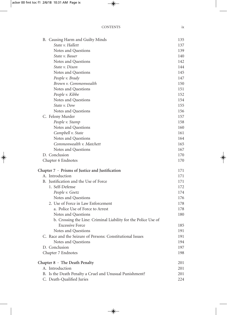| B. Causing Harm and Guilty Minds                               | 135 |
|----------------------------------------------------------------|-----|
| State v. Hallett                                               | 137 |
| Notes and Questions                                            | 139 |
| State v. Bauer                                                 | 140 |
| Notes and Questions                                            | 142 |
| State v. Dixon                                                 | 144 |
| Notes and Questions                                            | 145 |
| People v. Brady                                                | 147 |
| Brown v. Commonwealth                                          | 150 |
| Notes and Questions                                            | 151 |
| People v. Kibbe                                                | 152 |
| Notes and Questions                                            | 154 |
| State v. Dow                                                   | 155 |
| Notes and Questions                                            | 156 |
| C. Felony Murder                                               | 157 |
| People v. Stamp                                                | 158 |
| Notes and Questions                                            | 160 |
| Campbell v. State                                              | 161 |
| Notes and Questions                                            | 164 |
| Commonwealth v. Matchett                                       | 165 |
| Notes and Questions                                            | 167 |
| D. Conclusion                                                  | 170 |
| Chapter 6 Endnotes                                             | 170 |
| Chapter 7 · Prisms of Justice and Justification                | 171 |
| A. Introduction                                                | 171 |
| B. Justification and the Use of Force                          | 171 |
| 1. Self-Defense                                                | 172 |
| People v. Goetz                                                | 174 |
| Notes and Questions                                            | 176 |
| 2. Use of Force in Law Enforcement                             | 178 |
| a. Police Use of Force to Arrest                               | 178 |
| Notes and Questions                                            | 180 |
| b. Crossing the Line: Criminal Liability for the Police Use of |     |
| <b>Excessive Force</b>                                         | 185 |
| Notes and Questions                                            | 191 |
| C. Race and the Seizure of Persons: Constitutional Issues      | 191 |
| Notes and Questions                                            | 194 |
| D. Conclusion                                                  | 197 |
| Chapter 7 Endnotes                                             | 198 |
| Chapter $8 \cdot$ The Death Penalty                            | 201 |
| A. Introduction                                                | 201 |
| B. Is the Death Penalty a Cruel and Unusual Punishment?        | 201 |
| C. Death-Qualified Juries                                      | 224 |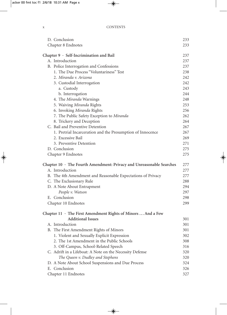| D. Conclusion                                                              | 233 |
|----------------------------------------------------------------------------|-----|
| Chapter 8 Endnotes                                                         | 233 |
|                                                                            |     |
| Chapter 9 · Self-Incrimination and Bail                                    | 237 |
| A. Introduction                                                            | 237 |
| B. Police Interrogation and Confessions                                    | 237 |
| 1. The Due Process "Voluntariness" Test                                    | 238 |
| 2. Miranda v. Arizona                                                      | 242 |
| 3. Custodial Interrogation                                                 | 242 |
| a. Custody                                                                 | 243 |
| b. Interrogation                                                           | 244 |
| 4. The Miranda Warnings                                                    | 248 |
| 5. Waiving Miranda Rights                                                  | 253 |
| 6. Invoking Miranda Rights                                                 | 256 |
| 7. The Public Safety Exception to Miranda                                  | 262 |
| 8. Trickery and Deception                                                  | 264 |
| C. Bail and Preventive Detention                                           | 267 |
| 1. Pretrial Incarceration and the Presumption of Innocence                 | 267 |
| 2. Excessive Bail                                                          | 269 |
| 3. Preventive Detention                                                    | 271 |
| D. Conclusion                                                              | 275 |
| Chapter 9 Endnotes                                                         | 275 |
| Chapter $10 \cdot$ The Fourth Amendment: Privacy and Unreasonable Searches | 277 |
| A. Introduction                                                            | 277 |
| B. The 4th Amendment and Reasonable Expectations of Privacy                | 277 |
| C. The Exclusionary Rule                                                   | 288 |
| D. A Note About Entrapment                                                 | 294 |
| People v. Watson                                                           | 297 |
| E. Conclusion                                                              | 298 |
| Chapter 10 Endnotes                                                        | 299 |
|                                                                            |     |
| Chapter $11 \cdot$ The First Amendment Rights of Minors  And a Few         |     |
| <b>Additional Issues</b>                                                   | 301 |
| A. Introduction                                                            | 301 |
| B. The First Amendment Rights of Minors                                    | 301 |
| 1. Violent and Sexually Explicit Expression                                | 302 |
| 2. The 1st Amendment in the Public Schools                                 | 308 |
| 3. Off-Campus, School-Related Speech                                       | 316 |
| C. Adrift in a Lifeboat: A Note on the Necessity Defense                   | 320 |
| The Queen v. Dudley and Stephens                                           | 320 |
| D. A Note About School Suspensions and Due Process                         | 324 |
| E. Conclusion                                                              | 326 |
| Chapter 11 Endnotes                                                        | 327 |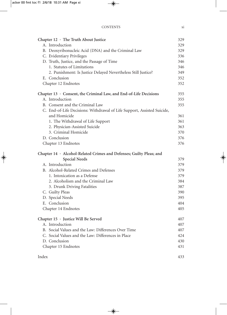| Chapter $12 \cdot$ The Truth About Justice                              | 329 |
|-------------------------------------------------------------------------|-----|
| A. Introduction                                                         | 329 |
| B. Deoxyribonucleic Acid (DNA) and the Criminal Law                     | 329 |
| C. Evidentiary Privileges                                               | 336 |
| D. Truth, Justice, and the Passage of Time                              | 346 |
| 1. Statutes of Limitations                                              | 346 |
| 2. Punishment: Is Justice Delayed Nevertheless Still Justice?           | 349 |
| E. Conclusion                                                           | 352 |
| Chapter 12 Endnotes                                                     | 352 |
| Chapter $13 \cdot$ Consent, the Criminal Law, and End-of-Life Decisions | 355 |
| A. Introduction                                                         | 355 |
| B. Consent and the Criminal Law                                         | 355 |
| C. End-of-Life Decisions: Withdrawal of Life Support, Assisted Suicide, |     |
| and Homicide                                                            | 361 |
| 1. The Withdrawal of Life Support                                       | 361 |
| 2. Physician-Assisted Suicide                                           | 363 |
| 3. Criminal Homicide                                                    | 370 |
| D. Conclusion                                                           | 376 |
| Chapter 13 Endnotes                                                     | 376 |
| Chapter 14 · Alcohol-Related Crimes and Defenses; Guilty Pleas; and     |     |
| <b>Special Needs</b>                                                    | 379 |
| A. Introduction                                                         | 379 |
| B. Alcohol-Related Crimes and Defenses                                  | 379 |
| 1. Intoxication as a Defense                                            | 379 |
| 2. Alcoholism and the Criminal Law                                      | 384 |
| 3. Drunk Driving Fatalities                                             | 387 |
| C. Guilty Pleas                                                         | 390 |
| D. Special Needs                                                        | 395 |
| E. Conclusion                                                           | 404 |
| Chapter 14 Endnotes                                                     | 405 |
| Chapter 15 · Justice Will Be Served                                     | 407 |
| A. Introduction                                                         | 407 |
| B. Social Values and the Law: Differences Over Time                     | 407 |
| C. Social Values and the Law: Differences in Place                      | 424 |
| D. Conclusion                                                           | 430 |
| Chapter 15 Endnotes                                                     | 431 |
| Index                                                                   | 433 |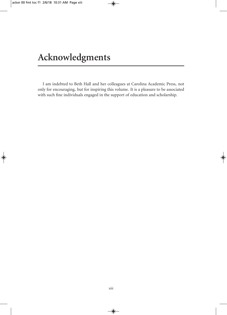I am indebted to Beth Hall and her colleagues at Carolina Academic Press, not only for encouraging, but for inspiring this volume. It is a pleasure to be associated with such fine individuals engaged in the support of education and scholarship.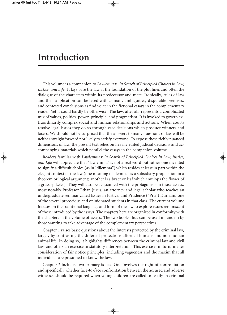#### **Introduction**

This volume is a companion to *Lawlemmas: In Search of Principled Choices in Law, Justice, and Life*. It lays bare the law at the foundation of the plot lines and often the dialogue of the characters within its predecessor and mate. Ironically, rules of law and their application can be laced with as many ambiguities, disputable premises, and contested conclusions as find voice in the fictional essays in the complementary reader. Yet it could hardly be otherwise. The law, after all, represents a complicated mix of values, politics, power, principle, and pragmatism. It is invoked to govern extraordinarily complex social and human relationships and actions. When courts resolve legal issues they do so through case decisions which produce winners and losers. We should not be surprised that the answers to many questions of law will be neither straightforward nor likely to satisfy everyone. To expose these richly nuanced dimensions of law, the present text relies on heavily edited judicial decisions and accompanying materials which parallel the essays in the companion volume.

Readers familiar with *Lawlemmas: In Search of Principled Choices in Law, Justice, and Life* will appreciate that "lawlemma" is not a real word but rather one invented to signify a difficult choice (as in "dilemma") which resides at least in part within the elegant context of the law (one meaning of "lemma" is a subsidiary proposition in a theorem or logical argument; another is a bract or leaf which envelops the flower of a grass spikelet). They will also be acquainted with the protagonists in those essays, most notably Professor Ethan Jurus, an attorney and legal scholar who teaches an undergraduate seminar called Issues in Justice, and Prudence ("Pru") Durham, one of the several precocious and opinionated students in that class. The current volume focuses on the traditional language and form of the law to explore issues reminiscent of those introduced by the essays. The chapters here are organized in conformity with the chapters in the volume of essays. The two books thus can be used in tandem by those wanting to take advantage of the complementary perspectives.

Chapter 1 raises basic questions about the interests protected by the criminal law, largely by contrasting the different protections afforded humans and non-human animal life. In doing so, it highlights differences between the criminal law and civil law, and offers an exercise in statutory interpretation. This exercise, in turn, invites consideration of fair notice principles, including vagueness and the maxim that all individuals are presumed to know the law.

Chapter 2 includes two primary issues. One involves the right of confrontation and specifically whether face-to-face confrontation between the accused and adverse witnesses should be required when young children are called to testify in criminal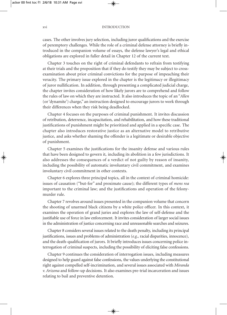cases. The other involves jury selection, including juror qualifications and the exercise of peremptory challenges. While the role of a criminal defense attorney is briefly introduced in the companion volume of essays, the defense lawyer's legal and ethical obligations are explored in fuller detail in Chapter 12 of the current text.

Chapter 3 touches on the right of criminal defendants to refrain from testifying at their trials and the proposition that if they do testify they may be subject to crossexamination about prior criminal convictions for the purpose of impeaching their veracity. The primary issue explored in the chapter is the legitimacy or illegitimacy of juror nullification. In addition, through presenting a complicated judicial charge, the chapter invites consideration of how likely jurors are to comprehend and follow the rules of law on which they are instructed. It also introduces the topic of an "*Allen* (or'dynamite') charge," an instruction designed to encourage jurors to work through their differences when they risk being deadlocked.

Chapter 4 focuses on the purposes of criminal punishment. It invites discussion of retribution, deterrence, incapacitation, and rehabilitation, and how these traditional justifications of punishment might be prioritized and applied in a specific case. The chapter also introduces restorative justice as an alternative model to retributive justice, and asks whether shaming the offender is a legitimate or desirable objective of punishment.

Chapter 5 examines the justifications for the insanity defense and various rules that have been designed to govern it, including its abolition in a few jurisdictions. It also addresses the consequences of a verdict of not guilty by reason of insanity, including the possibility of automatic involuntary civil commitment, and examines involuntary civil commitment in other contexts.

Chapter 6 explores three principal topics, all in the context of criminal homicide: issues of causation ("but-for" and proximate cause); the different types of *mens rea* important to the criminal law; and the justifications and operation of the felonymurder rule.

Chapter 7 revolves around issues presented in the companion volume that concern the shooting of unarmed black citizens by a white police officer. In this context, it examines the operation of grand juries and explores the law of self-defense and the justifiable use of force in law enforcement. It invites consideration of larger social issues in the administration of justice concerning race and unreasonable searches and seizures.

Chapter 8 considers several issues related to the death penalty, including its principal justifications, issues and problems of administration (*e.g*., racial disparities, innocence), and the death-qualification of jurors. It briefly introduces issues concerning police interrogation of criminal suspects, including the possibility of eliciting false confessions.

Chapter 9 continues the consideration of interrogation issues, including measures designed to help guard against false confessions, the values underlying the constitutional right against compelled self-incrimination, and several issues associated with *Miranda v. Arizona* and follow-up decisions. It also examines pre-trial incarceration and issues relating to bail and preventive detention.